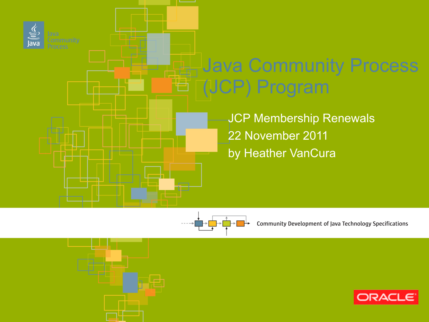



Community Development of Java Technology Specifications

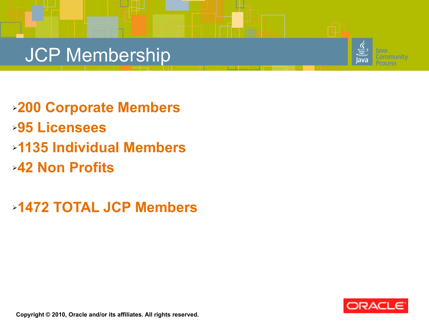## JCP Membership

➢**200 Corporate Members** ➢**95 Licensees** ➢**1135 Individual Members** ➢**42 Non Profits**

➢**1472 TOTAL JCP Members**



munity

**Copyright © 2010, Oracle and/or its affiliates. All rights reserved.**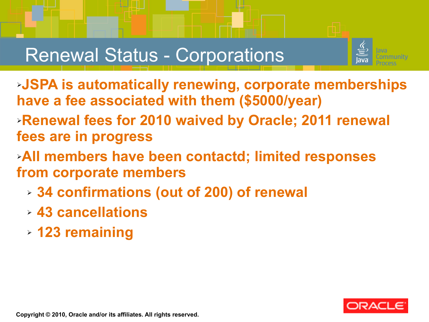## Renewal Status - Corporations



- ➢**JSPA is automatically renewing, corporate memberships have a fee associated with them (\$5000/year)**
- ➢**Renewal fees for 2010 waived by Oracle; 2011 renewal fees are in progress**
- ➢**All members have been contactd; limited responses from corporate members**
	- ➢ **34 confirmations (out of 200) of renewal**
	- ➢ **43 cancellations**
	- ➢ **123 remaining**

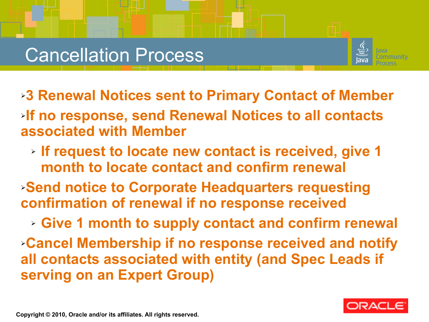



- ➢**3 Renewal Notices sent to Primary Contact of Member**
- ➢**If no response, send Renewal Notices to all contacts associated with Member**
	- ➢ **If request to locate new contact is received, give 1 month to locate contact and confirm renewal**
- ➢**Send notice to Corporate Headquarters requesting confirmation of renewal if no response received**
	- ➢ **Give 1 month to supply contact and confirm renewal**

➢**Cancel Membership if no response received and notify all contacts associated with entity (and Spec Leads if serving on an Expert Group)**

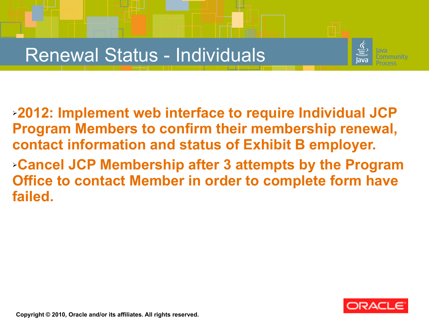## Renewal Status - Individuals



➢**2012: Implement web interface to require Individual JCP Program Members to confirm their membership renewal, contact information and status of Exhibit B employer.**

➢**Cancel JCP Membership after 3 attempts by the Program Office to contact Member in order to complete form have failed.**